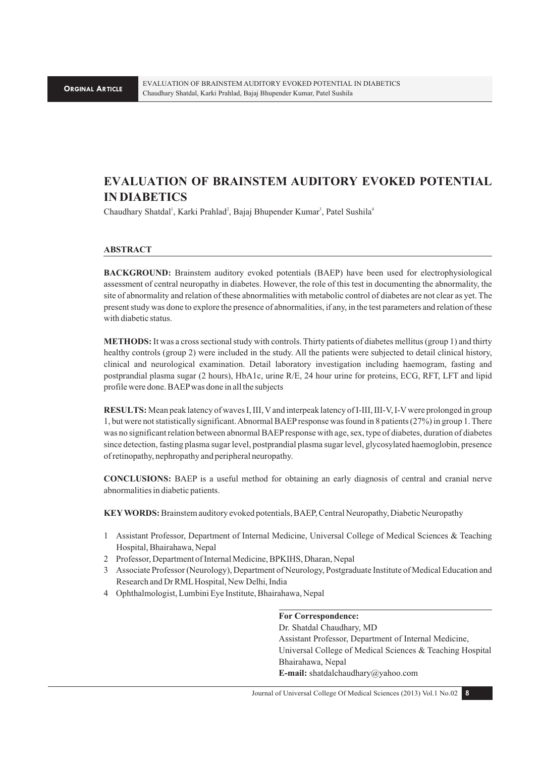# **EVALUATION OF BRAINSTEM AUDITORY EVOKED POTENTIAL IN DIABETICS**

Chaudhary Shatdal<sup>1</sup>, Karki Prahlad<sup>2</sup>, Bajaj Bhupender Kumar<sup>3</sup>, Patel Sushila<sup>4</sup>

# **ABSTRACT**

**BACKGROUND:** Brainstem auditory evoked potentials (BAEP) have been used for electrophysiological assessment of central neuropathy in diabetes. However, the role of this test in documenting the abnormality, the site of abnormality and relation of these abnormalities with metabolic control of diabetes are not clear as yet. The present study was done to explore the presence of abnormalities, if any, in the test parameters and relation of these with diabetic status.

**METHODS:** It was a cross sectional study with controls. Thirty patients of diabetes mellitus (group 1) and thirty healthy controls (group 2) were included in the study. All the patients were subjected to detail clinical history, clinical and neurological examination. Detail laboratory investigation including haemogram, fasting and postprandial plasma sugar (2 hours), HbA1c, urine R/E, 24 hour urine for proteins, ECG, RFT, LFT and lipid profile were done. BAEP was done in all the subjects

**RESULTS:** Mean peak latency of waves I, III, V and interpeak latency of I-III, III-V, I-V were prolonged in group 1, but were not statistically significant. Abnormal BAEP response was found in 8 patients (27%) in group 1. There was no significant relation between abnormal BAEP response with age, sex, type of diabetes, duration of diabetes since detection, fasting plasma sugar level, postprandial plasma sugar level, glycosylated haemoglobin, presence of retinopathy, nephropathy and peripheral neuropathy.

**CONCLUSIONS:** BAEP is a useful method for obtaining an early diagnosis of central and cranial nerve abnormalities in diabetic patients.

**KEY WORDS:** Brainstem auditory evoked potentials, BAEP, Central Neuropathy, Diabetic Neuropathy

- 1 Assistant Professor, Department of Internal Medicine, Universal College of Medical Sciences & Teaching Hospital, Bhairahawa, Nepal
- 2 Professor, Department of Internal Medicine, BPKIHS, Dharan, Nepal
- 3 Associate Professor (Neurology), Department of Neurology, Postgraduate Institute of Medical Education and Research and Dr RML Hospital, New Delhi, India
- 4 Ophthalmologist, Lumbini Eye Institute, Bhairahawa, Nepal

# **For Correspondence:**

Dr. Shatdal Chaudhary, MD Assistant Professor, Department of Internal Medicine, Universal College of Medical Sciences & Teaching Hospital Bhairahawa, Nepal **E-mail:** shatdalchaudhary@yahoo.com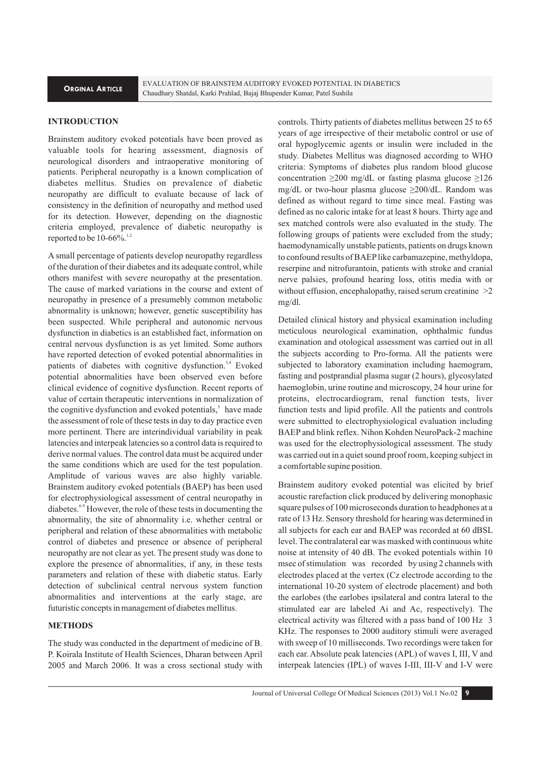# **INTRODUCTION**

Brainstem auditory evoked potentials have been proved as valuable tools for hearing assessment, diagnosis of neurological disorders and intraoperative monitoring of patients. Peripheral neuropathy is a known complication of diabetes mellitus. Studies on prevalence of diabetic neuropathy are difficult to evaluate because of lack of consistency in the definition of neuropathy and method used for its detection. However, depending on the diagnostic criteria employed, prevalence of diabetic neuropathy is reported to be  $10-66\%$ .

A small percentage of patients develop neuropathy regardless of the duration of their diabetes and its adequate control, while others manifest with severe neuropathy at the presentation. The cause of marked variations in the course and extent of neuropathy in presence of a presumebly common metabolic abnormality is unknown; however, genetic susceptibility has been suspected. While peripheral and autonomic nervous dysfunction in diabetics is an established fact, information on central nervous dysfunction is as yet limited. Some authors have reported detection of evoked potential abnormalities in patients of diabetes with cognitive dysfunction.<sup>3,4</sup> Evoked potential abnormalities have been observed even before clinical evidence of cognitive dysfunction. Recent reports of value of certain therapeutic interventions in normalization of the cognitive dysfunction and evoked potentials,<sup>5</sup> have made the assessment of role of these tests in day to day practice even more pertinent. There are interindividual variability in peak latencies and interpeak latencies so a control data is required to derive normal values. The control data must be acquired under the same conditions which are used for the test population. Amplitude of various waves are also highly variable. Brainstem auditory evoked potentials (BAEP) has been used for electrophysiological assessment of central neuropathy in diabetes.<sup>6-9</sup> However, the role of these tests in documenting the abnormality, the site of abnormality i.e. whether central or peripheral and relation of these abnormalities with metabolic control of diabetes and presence or absence of peripheral neuropathy are not clear as yet. The present study was done to explore the presence of abnormalities, if any, in these tests parameters and relation of these with diabetic status. Early detection of subclinical central nervous system function abnormalities and interventions at the early stage, are futuristic concepts in management of diabetes mellitus.

#### **METHODS**

The study was conducted in the department of medicine of B. P. Koirala Institute of Health Sciences, Dharan between April 2005 and March 2006. It was a cross sectional study with controls. Thirty patients of diabetes mellitus between 25 to 65 years of age irrespective of their metabolic control or use of oral hypoglycemic agents or insulin were included in the study. Diabetes Mellitus was diagnosed according to WHO criteria: Symptoms of diabetes plus random blood glucose concentration  $\geq 200$  mg/dL or fasting plasma glucose  $\geq 126$ mg/dL or two-hour plasma glucose ≥200/dL. Random was defined as without regard to time since meal. Fasting was defined as no caloric intake for at least 8 hours. Thirty age and sex matched controls were also evaluated in the study. The following groups of patients were excluded from the study; haemodynamically unstable patients, patients on drugs known to confound results of BAEP like carbamazepine, methyldopa, reserpine and nitrofurantoin, patients with stroke and cranial nerve palsies, profound hearing loss, otitis media with or without effusion, encephalopathy, raised serum creatinine  $>2$ mg/dl.

Detailed clinical history and physical examination including meticulous neurological examination, ophthalmic fundus examination and otological assessment was carried out in all the subjects according to Pro-forma. All the patients were subjected to laboratory examination including haemogram, fasting and postprandial plasma sugar (2 hours), glycosylated haemoglobin, urine routine and microscopy, 24 hour urine for proteins, electrocardiogram, renal function tests, liver function tests and lipid profile. All the patients and controls were submitted to electrophysiological evaluation including BAEP and blink reflex. Nihon Kohden NeuroPack-2 machine was used for the electrophysiological assessment. The study was carried out in a quiet sound proof room, keeping subject in a comfortable supine position.

Brainstem auditory evoked potential was elicited by brief acoustic rarefaction click produced by delivering monophasic square pulses of 100 microseconds duration to headphones at a rate of 13 Hz. Sensory threshold for hearing was determined in all subjects for each ear and BAEP was recorded at 60 dBSL level. The contralateral ear was masked with continuous white noise at intensity of 40 dB. The evoked potentials within 10 msec of stimulation was recorded by using 2 channels with electrodes placed at the vertex (Cz electrode according to the international 10-20 system of electrode placement) and both the earlobes (the earlobes ipsilateral and contra lateral to the stimulated ear are labeled Ai and Ac, respectively). The electrical activity was filtered with a pass band of 100 Hz 3 KHz. The responses to 2000 auditory stimuli were averaged with sweep of 10 milliseconds. Two recordings were taken for each ear. Absolute peak latencies (APL) of waves I, III, V and interpeak latencies (IPL) of waves I-III, III-V and I-V were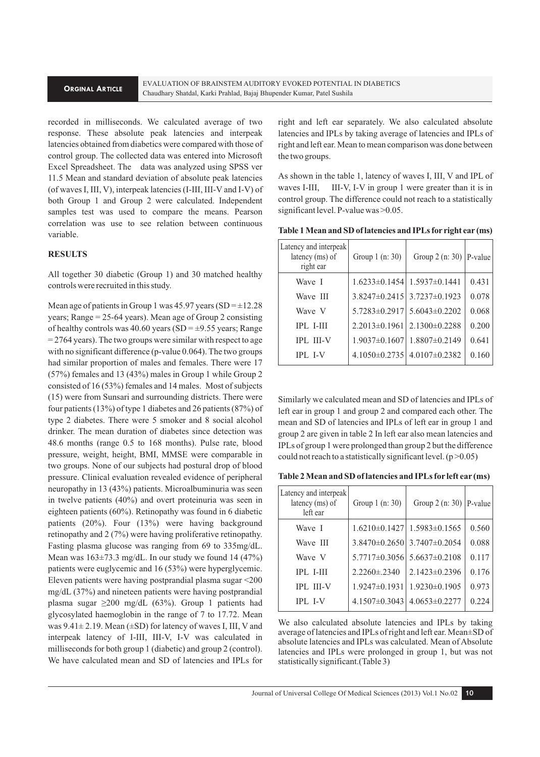#### **ORGINAL ARTICLE**

recorded in milliseconds. We calculated average of two response. These absolute peak latencies and interpeak latencies obtained from diabetics were compared with those of control group. The collected data was entered into Microsoft Excel Spreadsheet. The data was analyzed using SPSS ver 11.5 Mean and standard deviation of absolute peak latencies (of waves I, III, V), interpeak latencies (I-III, III-V and I-V) of both Group 1 and Group 2 were calculated. Independent samples test was used to compare the means. Pearson correlation was use to see relation between continuous variable.

#### **RESULTS**

All together 30 diabetic (Group 1) and 30 matched healthy controls were recruited in this study.

Mean age of patients in Group 1 was 45.97 years (SD =  $\pm$ 12.28) years; Range = 25-64 years). Mean age of Group 2 consisting of healthy controls was 40.60 years (SD =  $\pm$ 9.55 years; Range  $= 2764$  years). The two groups were similar with respect to age with no significant difference (p-value 0.064). The two groups had similar proportion of males and females. There were 17 (57%) females and 13 (43%) males in Group 1 while Group 2 consisted of 16 (53%) females and 14 males. Most of subjects (15) were from Sunsari and surrounding districts. There were four patients (13%) of type 1 diabetes and 26 patients (87%) of type 2 diabetes. There were 5 smoker and 8 social alcohol drinker. The mean duration of diabetes since detection was 48.6 months (range 0.5 to 168 months). Pulse rate, blood pressure, weight, height, BMI, MMSE were comparable in two groups. None of our subjects had postural drop of blood pressure. Clinical evaluation revealed evidence of peripheral neuropathy in 13 (43%) patients. Microalbuminuria was seen in twelve patients (40%) and overt proteinuria was seen in eighteen patients (60%). Retinopathy was found in 6 diabetic patients (20%). Four (13%) were having background retinopathy and 2 (7%) were having proliferative retinopathy. Fasting plasma glucose was ranging from 69 to 335mg/dL. Mean was  $163\pm73.3$  mg/dL. In our study we found 14 (47%) patients were euglycemic and 16 (53%) were hyperglycemic. Eleven patients were having postprandial plasma sugar <200 mg/dL (37%) and nineteen patients were having postprandial plasma sugar  $\geq 200$  mg/dL (63%). Group 1 patients had glycosylated haemoglobin in the range of 7 to 17.72. Mean was  $9.41 \pm 2.19$ . Mean ( $\pm$ SD) for latency of waves I, III, V and interpeak latency of I-III, III-V, I-V was calculated in milliseconds for both group 1 (diabetic) and group 2 (control). We have calculated mean and SD of latencies and IPLs for

right and left ear separately. We also calculated absolute latencies and IPLs by taking average of latencies and IPLs of right and left ear. Mean to mean comparison was done between the two groups.

As shown in the table 1, latency of waves I, III, V and IPL of waves I-III, III-V, I-V in group 1 were greater than it is in control group. The difference could not reach to a statistically significant level. P-value was > 0.05.

| Table 1 Mean and SD of latencies and IPLs for right ear (ms) |  |  |  |  |  |
|--------------------------------------------------------------|--|--|--|--|--|
|--------------------------------------------------------------|--|--|--|--|--|

| Latency and interpeak<br>latency (ms) of<br>right ear | Group 1 (n: 30)     | Group $2$ (n: 30)   P-value             |       |
|-------------------------------------------------------|---------------------|-----------------------------------------|-------|
| Wave I                                                |                     | $1.6233\pm0.1454$   $1.5937\pm0.1441$   | 0.431 |
| Wave III                                              |                     | $3.8247\pm0.2415$ 3.7237 $\pm$ 0.1923   | 0.078 |
| Wave V                                                |                     | $5.7283 \pm 0.2917$ $5.6043 \pm 0.2202$ | 0.068 |
| $IPL$ I-III                                           | $2.2013 \pm 0.1961$ | $2.1300 \pm 0.2288$                     | 0.200 |
| <b>IPL III-V</b>                                      | $1.9037 \pm 0.1607$ | $1.8807\pm0.2149$                       | 0.641 |
| <b>IPL I-V</b>                                        |                     | $4.1050\pm0.2735$   $4.0107\pm0.2382$   | 0.160 |

Similarly we calculated mean and SD of latencies and IPLs of left ear in group 1 and group 2 and compared each other. The mean and SD of latencies and IPLs of left ear in group 1 and group 2 are given in table 2 In left ear also mean latencies and IPLs of group 1 were prolonged than group 2 but the difference could not reach to a statistically significant level.  $(p > 0.05)$ 

|  | Table 2 Mean and SD of latencies and IPLs for left ear (ms) |  |  |  |  |
|--|-------------------------------------------------------------|--|--|--|--|
|--|-------------------------------------------------------------|--|--|--|--|

| Latency and interpeak<br>latency (ms) of<br>left ear | Group 1 (n: 30)     | Group 2 (n: 30)   P-value             |       |
|------------------------------------------------------|---------------------|---------------------------------------|-------|
| Wave I                                               |                     | $1.6210\pm0.1427$   $1.5983\pm0.1565$ | 0.560 |
| Wave III                                             |                     | $3.8470\pm0.2650$ 3.7407 $\pm$ 0.2054 | 0.088 |
| Wave V                                               | $5.7717\pm0.3056$   | $5.6637\pm0.2108$                     | 0.117 |
| <b>IPL I-III</b>                                     | $2.2260 \pm 0.2340$ | $2.1423\pm0.2396$                     | 0.176 |
| <b>IPL III-V</b>                                     | $1.9247\pm0.1931$   | $1.9230\pm0.1905$                     | 0.973 |
| <b>IPL I-V</b>                                       | $4.1507\pm0.3043$   | $4.0653\pm0.2277$                     | 0.224 |

We also calculated absolute latencies and IPLs by taking average of latencies and IPLs of right and left ear. Mean±SD of absolute latencies and IPLs was calculated. Mean of Absolute latencies and IPLs were prolonged in group 1, but was not statistically significant.(Table 3)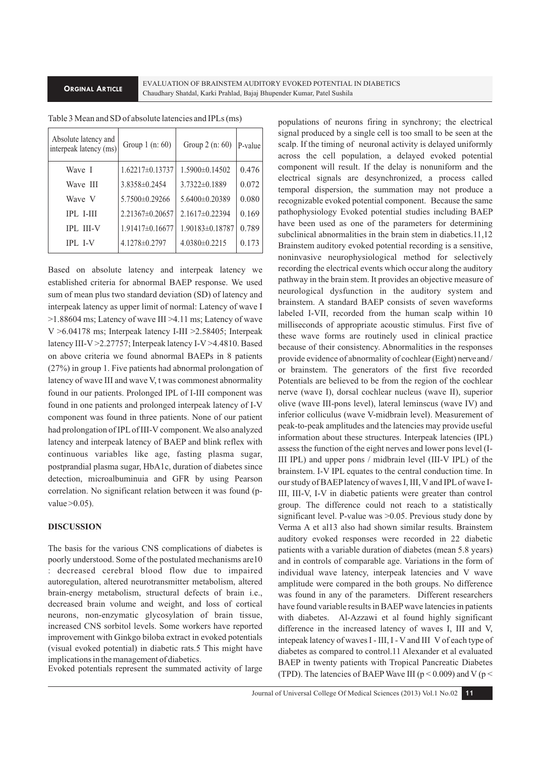#### **ORGINAL ARTICLE**

EVALUATION OF BRAINSTEM AUDITORY EVOKED POTENTIAL IN DIABETICS Chaudhary Shatdal, Karki Prahlad, Bajaj Bhupender Kumar, Patel Sushila

| Absolute latency and<br>interpeak latency (ms) | Group 1 (n: 60)     | Group 2 (n: 60)      | P-value |
|------------------------------------------------|---------------------|----------------------|---------|
| Wave I                                         | $1.62217\pm0.13737$ | $1.5900 \pm 0.14502$ | 0.476   |
| Wave III                                       | 3.8358±0.2454       | $3.7322\pm0.1889$    | 0.072   |
| Wave V                                         | 5.7500±0.29266      | $5.6400\pm0.20389$   | 0.080   |
| <b>IPL I-III</b>                               | $2.21367\pm0.20657$ | $2.1617\pm0.22394$   | 0.169   |
| <b>IPL III-V</b>                               | $1.91417\pm0.16677$ | 1.90183±0.18787      | 0.789   |
| <b>IPL I-V</b>                                 | 4.1278±0.2797       | $4.0380\pm0.2215$    | 0.173   |

Table 3 Mean and SD of absolute latencies and IPLs (ms)

Based on absolute latency and interpeak latency we established criteria for abnormal BAEP response. We used sum of mean plus two standard deviation (SD) of latency and interpeak latency as upper limit of normal: Latency of wave I >1.88604 ms; Latency of wave III >4.11 ms; Latency of wave V >6.04178 ms; Interpeak latency I-III >2.58405; Interpeak latency III-V >2.27757; Interpeak latency I-V >4.4810. Based on above criteria we found abnormal BAEPs in 8 patients (27%) in group 1. Five patients had abnormal prolongation of latency of wave III and wave V, t was commonest abnormality found in our patients. Prolonged IPL of I-III component was found in one patients and prolonged interpeak latency of I-V component was found in three patients. None of our patient had prolongation of IPL of III-V component. We also analyzed latency and interpeak latency of BAEP and blink reflex with continuous variables like age, fasting plasma sugar, postprandial plasma sugar, HbA1c, duration of diabetes since detection, microalbuminuia and GFR by using Pearson correlation. No significant relation between it was found (pvalue  $>0.05$ ).

### **DISCUSSION**

The basis for the various CNS complications of diabetes is poorly understood. Some of the postulated mechanisms are10 : decreased cerebral blood flow due to impaired autoregulation, altered neurotransmitter metabolism, altered brain-energy metabolism, structural defects of brain i.e., decreased brain volume and weight, and loss of cortical neurons, non-enzymatic glycosylation of brain tissue, increased CNS sorbitol levels. Some workers have reported improvement with Ginkgo biloba extract in evoked potentials (visual evoked potential) in diabetic rats.5 This might have implications in the management of diabetics.

Evoked potentials represent the summated activity of large

populations of neurons firing in synchrony; the electrical signal produced by a single cell is too small to be seen at the scalp. If the timing of neuronal activity is delayed uniformly across the cell population, a delayed evoked potential component will result. If the delay is nonuniform and the electrical signals are desynchronized, a process called temporal dispersion, the summation may not produce a recognizable evoked potential component. Because the same pathophysiology Evoked potential studies including BAEP have been used as one of the parameters for determining subclinical abnormalities in the brain stem in diabetics.11,12 Brainstem auditory evoked potential recording is a sensitive, noninvasive neurophysiological method for selectively recording the electrical events which occur along the auditory pathway in the brain stem. It provides an objective measure of neurological dysfunction in the auditory system and brainstem. A standard BAEP consists of seven waveforms labeled I-VII, recorded from the human scalp within 10 milliseconds of appropriate acoustic stimulus. First five of these wave forms are routinely used in clinical practice because of their consistency. Abnormalities in the responses provide evidence of abnormality of cochlear (Eight) nerve and / or brainstem. The generators of the first five recorded Potentials are believed to be from the region of the cochlear nerve (wave I), dorsal cochlear nucleus (wave II), superior olive (wave III-pons level), lateral leminscus (wave IV) and inferior colliculus (wave V-midbrain level). Measurement of peak-to-peak amplitudes and the latencies may provide useful information about these structures. Interpeak latencies (IPL) assess the function of the eight nerves and lower pons level (I-III IPL) and upper pons / midbrain level (III-V IPL) of the brainstem. I-V IPL equates to the central conduction time. In our study of BAEP latency of waves I, III, V and IPL of wave I-III, III-V, I-V in diabetic patients were greater than control group. The difference could not reach to a statistically significant level. P-value was >0.05. Previous study done by Verma A et al13 also had shown similar results. Brainstem auditory evoked responses were recorded in 22 diabetic patients with a variable duration of diabetes (mean 5.8 years) and in controls of comparable age. Variations in the form of individual wave latency, interpeak latencies and V wave amplitude were compared in the both groups. No difference was found in any of the parameters. Different researchers have found variable results in BAEP wave latencies in patients with diabetes. Al-Azzawi et al found highly significant difference in the increased latency of waves I, III and V, intepeak latency of waves I - III, I - V and III V of each type of diabetes as compared to control.11 Alexander et al evaluated BAEP in twenty patients with Tropical Pancreatic Diabetes (TPD). The latencies of BAEP Wave III ( $p < 0.009$ ) and V ( $p <$